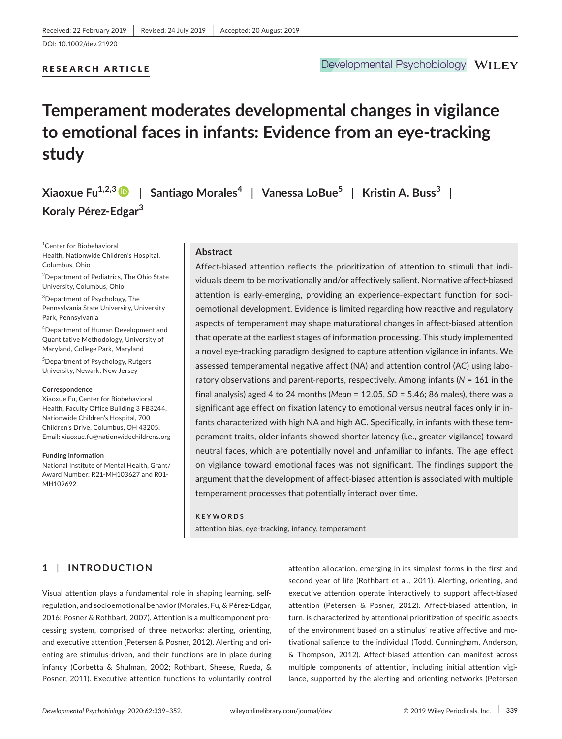## RESEARCH ARTICLE

# **Temperament moderates developmental changes in vigilance to emotional faces in infants: Evidence from an eye‐tracking study**

**Xiaoxue Fu1,2,[3](https://orcid.org/0000-0002-6124-731X)** | **Santiago Morales<sup>4</sup>** | **Vanessa LoBue<sup>5</sup>** | **Kristin A. Buss<sup>3</sup>** | **Koraly Pérez‐Edgar<sup>3</sup>**

1 Center for Biobehavioral Health, Nationwide Children's Hospital, Columbus, Ohio

<sup>2</sup>Department of Pediatrics, The Ohio State University, Columbus, Ohio

3 Department of Psychology, The Pennsylvania State University, University Park, Pennsylvania

4 Department of Human Development and Quantitative Methodology, University of Maryland, College Park, Maryland

5 Department of Psychology, Rutgers University, Newark, New Jersey

#### **Correspondence**

Xiaoxue Fu, Center for Biobehavioral Health, Faculty Office Building 3 FB3244, Nationwide Children's Hospital, 700 Children's Drive, Columbus, OH 43205. Email: [xiaoxue.fu@nationwidechildrens.org](mailto:xiaoxue.fu@nationwidechildrens.org)

#### **Funding information**

National Institute of Mental Health, Grant/ Award Number: R21‐MH103627 and R01‐ MH109692

### **Abstract**

Affect-biased attention reflects the prioritization of attention to stimuli that individuals deem to be motivationally and/or affectively salient. Normative affect‐biased attention is early‐emerging, providing an experience‐expectant function for soci‐ oemotional development. Evidence is limited regarding how reactive and regulatory aspects of temperament may shape maturational changes in affect-biased attention that operate at the earliest stages of information processing. This study implemented a novel eye‐tracking paradigm designed to capture attention vigilance in infants. We assessed temperamental negative affect (NA) and attention control (AC) using labo‐ ratory observations and parent‐reports, respectively. Among infants (*N* = 161 in the final analysis) aged 4 to 24 months (*Mean* = 12.05, *SD* = 5.46; 86 males), there was a significant age effect on fixation latency to emotional versus neutral faces only in in‐ fants characterized with high NA and high AC. Specifically, in infants with these temperament traits, older infants showed shorter latency (i.e., greater vigilance) toward neutral faces, which are potentially novel and unfamiliar to infants. The age effect on vigilance toward emotional faces was not significant. The findings support the argument that the development of affect‐biased attention is associated with multiple temperament processes that potentially interact over time.

#### **KEYWORDS**

attention bias, eye‐tracking, infancy, temperament

## **1** | **INTRODUCTION**

Visual attention plays a fundamental role in shaping learning, self‐ regulation, and socioemotional behavior (Morales, Fu, & Pérez‐Edgar, 2016; Posner & Rothbart, 2007). Attention is a multicomponent pro‐ cessing system, comprised of three networks: alerting, orienting, and executive attention (Petersen & Posner, 2012). Alerting and ori‐ enting are stimulus‐driven, and their functions are in place during infancy (Corbetta & Shulman, 2002; Rothbart, Sheese, Rueda, & Posner, 2011). Executive attention functions to voluntarily control

attention allocation, emerging in its simplest forms in the first and second year of life (Rothbart et al., 2011). Alerting, orienting, and executive attention operate interactively to support affect-biased attention (Petersen & Posner, 2012). Affect‐biased attention, in turn, is characterized by attentional prioritization of specific aspects of the environment based on a stimulus' relative affective and mo‐ tivational salience to the individual (Todd, Cunningham, Anderson, & Thompson, 2012). Affect‐biased attention can manifest across multiple components of attention, including initial attention vigilance, supported by the alerting and orienting networks (Petersen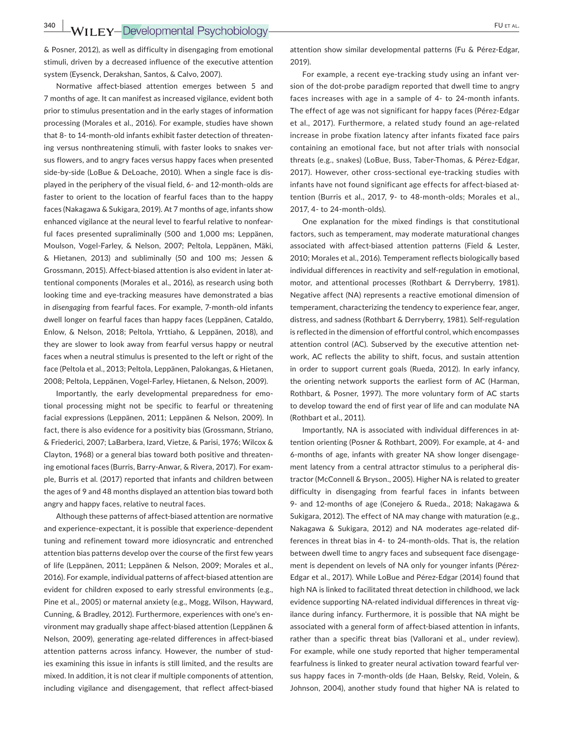& Posner, 2012), as well as difficulty in disengaging from emotional stimuli, driven by a decreased influence of the executive attention system (Eysenck, Derakshan, Santos, & Calvo, 2007).

Normative affect‐biased attention emerges between 5 and 7 months of age. It can manifest as increased vigilance, evident both prior to stimulus presentation and in the early stages of information processing (Morales et al., 2016). For example, studies have shown that 8‐ to 14‐month‐old infants exhibit faster detection of threaten‐ ing versus nonthreatening stimuli, with faster looks to snakes versus flowers, and to angry faces versus happy faces when presented side-by-side (LoBue & DeLoache, 2010). When a single face is displayed in the periphery of the visual field, 6‐ and 12‐month‐olds are faster to orient to the location of fearful faces than to the happy faces (Nakagawa & Sukigara, 2019). At 7 months of age, infants show enhanced vigilance at the neural level to fearful relative to nonfear‐ ful faces presented supraliminally (500 and 1,000 ms; Leppänen, Moulson, Vogel‐Farley, & Nelson, 2007; Peltola, Leppänen, Mäki, & Hietanen, 2013) and subliminally (50 and 100 ms; Jessen & Grossmann, 2015). Affect-biased attention is also evident in later attentional components (Morales et al., 2016), as research using both looking time and eye-tracking measures have demonstrated a bias in *disengaging* from fearful faces. For example, 7‐month‐old infants dwell longer on fearful faces than happy faces (Leppänen, Cataldo, Enlow, & Nelson, 2018; Peltola, Yrttiaho, & Leppänen, 2018), and they are slower to look away from fearful versus happy or neutral faces when a neutral stimulus is presented to the left or right of the face (Peltola et al., 2013; Peltola, Leppänen, Palokangas, & Hietanen, 2008; Peltola, Leppänen, Vogel‐Farley, Hietanen, & Nelson, 2009).

Importantly, the early developmental preparedness for emo‐ tional processing might not be specific to fearful or threatening facial expressions (Leppänen, 2011; Leppänen & Nelson, 2009). In fact, there is also evidence for a positivity bias (Grossmann, Striano, & Friederici, 2007; LaBarbera, Izard, Vietze, & Parisi, 1976; Wilcox & Clayton, 1968) or a general bias toward both positive and threaten‐ ing emotional faces (Burris, Barry‐Anwar, & Rivera, 2017). For exam‐ ple, Burris et al. (2017) reported that infants and children between the ages of 9 and 48 months displayed an attention bias toward both angry and happy faces, relative to neutral faces.

Although these patterns of affect‐biased attention are normative and experience‐expectant, it is possible that experience‐dependent tuning and refinement toward more idiosyncratic and entrenched attention bias patterns develop over the course of the first few years of life (Leppänen, 2011; Leppänen & Nelson, 2009; Morales et al., 2016). For example, individual patterns of affect‐biased attention are evident for children exposed to early stressful environments (e.g., Pine et al., 2005) or maternal anxiety (e.g., Mogg, Wilson, Hayward, Cunning, & Bradley, 2012). Furthermore, experiences with one's en‐ vironment may gradually shape affect-biased attention (Leppänen & Nelson, 2009), generating age‐related differences in affect‐biased attention patterns across infancy. However, the number of stud‐ ies examining this issue in infants is still limited, and the results are mixed. In addition, it is not clear if multiple components of attention, including vigilance and disengagement, that reflect affect‐biased attention show similar developmental patterns (Fu & Pérez‐Edgar, 2019).

For example, a recent eye-tracking study using an infant version of the dot-probe paradigm reported that dwell time to angry faces increases with age in a sample of 4‐ to 24‐month infants. The effect of age was not significant for happy faces (Pérez‐Edgar et al., 2017). Furthermore, a related study found an age‐related increase in probe fixation latency after infants fixated face pairs containing an emotional face, but not after trials with nonsocial threats (e.g., snakes) (LoBue, Buss, Taber‐Thomas, & Pérez‐Edgar, 2017). However, other cross-sectional eve-tracking studies with infants have not found significant age effects for affect-biased attention (Burris et al., 2017, 9‐ to 48‐month‐olds; Morales et al., 2017, 4‐ to 24‐month‐olds).

One explanation for the mixed findings is that constitutional factors, such as temperament, may moderate maturational changes associated with affect‐biased attention patterns (Field & Lester, 2010; Morales et al., 2016). Temperament reflects biologically based individual differences in reactivity and self‐regulation in emotional, motor, and attentional processes (Rothbart & Derryberry, 1981). Negative affect (NA) represents a reactive emotional dimension of temperament, characterizing the tendency to experience fear, anger, distress, and sadness (Rothbart & Derryberry, 1981). Self‐regulation is reflected in the dimension of effortful control, which encompasses attention control (AC). Subserved by the executive attention net‐ work, AC reflects the ability to shift, focus, and sustain attention in order to support current goals (Rueda, 2012). In early infancy, the orienting network supports the earliest form of AC (Harman, Rothbart, & Posner, 1997). The more voluntary form of AC starts to develop toward the end of first year of life and can modulate NA (Rothbart et al., 2011).

Importantly, NA is associated with individual differences in at‐ tention orienting (Posner & Rothbart, 2009). For example, at 4‐ and 6‐months of age, infants with greater NA show longer disengage‐ ment latency from a central attractor stimulus to a peripheral dis‐ tractor (McConnell & Bryson., 2005). Higher NA is related to greater difficulty in disengaging from fearful faces in infants between 9‐ and 12‐months of age (Conejero & Rueda., 2018; Nakagawa & Sukigara, 2012). The effect of NA may change with maturation (e.g., Nakagawa & Sukigara, 2012) and NA moderates age‐related dif‐ ferences in threat bias in 4‐ to 24‐month‐olds. That is, the relation between dwell time to angry faces and subsequent face disengage‐ ment is dependent on levels of NA only for younger infants (Pérez-Edgar et al., 2017). While LoBue and Pérez‐Edgar (2014) found that high NA is linked to facilitated threat detection in childhood, we lack evidence supporting NA-related individual differences in threat vigilance during infancy. Furthermore, it is possible that NA might be associated with a general form of affect‐biased attention in infants, rather than a specific threat bias (Vallorani et al., under review). For example, while one study reported that higher temperamental fearfulness is linked to greater neural activation toward fearful ver‐ sus happy faces in 7‐month‐olds (de Haan, Belsky, Reid, Volein, & Johnson, 2004), another study found that higher NA is related to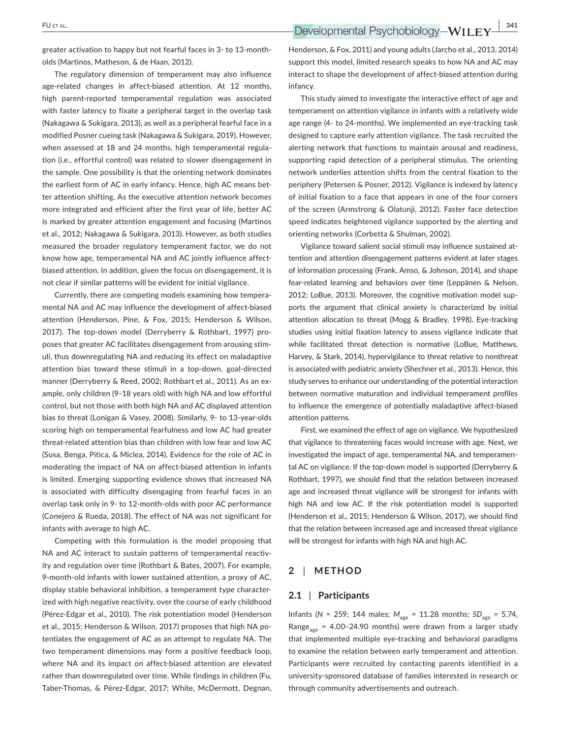**EU** ET AL. **EXECUTE:**  $\frac{1}{2}$  **Developmental Psychobiology-WILEY**  $\frac{1}{2}$  341

greater activation to happy but not fearful faces in 3‐ to 13‐month‐ olds (Martinos, Matheson, & de Haan, 2012).

The regulatory dimension of temperament may also influence age-related changes in affect-biased attention. At 12 months, high parent-reported temperamental regulation was associated with faster latency to fixate a peripheral target in the overlap task (Nakagawa & Sukigara, 2013), as well as a peripheral fearful face in a modified Posner cueing task (Nakagawa & Sukigara, 2019). However, when assessed at 18 and 24 months, high temperamental regulation (i.e., effortful control) was related to slower disengagement in the sample. One possibility is that the orienting network dominates the earliest form of AC in early infancy. Hence, high AC means better attention shifting. As the executive attention network becomes more integrated and efficient after the first year of life, better AC is marked by greater attention engagement and focusing (Martinos et al., 2012; Nakagawa & Sukigara, 2013). However, as both studies measured the broader regulatory temperament factor, we do not know how age, temperamental NA and AC jointly influence affectbiased attention. In addition, given the focus on disengagement, it is not clear if similar patterns will be evident for initial vigilance.

Currently, there are competing models examining how tempera‐ mental NA and AC may influence the development of affect-biased attention (Henderson, Pine, & Fox, 2015; Henderson & Wilson, 2017). The top-down model (Derryberry & Rothbart, 1997) proposes that greater AC facilitates disengagement from arousing stim‐ uli, thus downregulating NA and reducing its effect on maladaptive attention bias toward these stimuli in a top‐down, goal‐directed manner (Derryberry & Reed, 2002; Rothbart et al., 2011). As an example, only children (9–18 years old) with high NA and low effortful control, but not those with both high NA and AC displayed attention bias to threat (Lonigan & Vasey, 2008). Similarly, 9‐ to 13‐year‐olds scoring high on temperamental fearfulness and low AC had greater threat‐related attention bias than children with low fear and low AC (Susa, Benga, Pitica, & Miclea, 2014). Evidence for the role of AC in moderating the impact of NA on affect-biased attention in infants is limited. Emerging supporting evidence shows that increased NA is associated with difficulty disengaging from fearful faces in an overlap task only in 9‐ to 12‐month‐olds with poor AC performance (Conejero & Rueda, 2018). The effect of NA was not significant for infants with average to high AC.

Competing with this formulation is the model proposing that NA and AC interact to sustain patterns of temperamental reactivity and regulation over time (Rothbart & Bates, 2007). For example, 9‐month‐old infants with lower sustained attention, a proxy of AC, display stable behavioral inhibition, a temperament type character‐ ized with high negative reactivity, over the course of early childhood (Pérez‐Edgar et al., 2010). The risk potentiation model (Henderson et al., 2015; Henderson & Wilson, 2017) proposes that high NA po‐ tentiates the engagement of AC as an attempt to regulate NA. The two temperament dimensions may form a positive feedback loop, where NA and its impact on affect-biased attention are elevated rather than downregulated over time. While findings in children (Fu, Taber‐Thomas, & Pérez‐Edgar, 2017; White, McDermott, Degnan,

Henderson, & Fox, 2011) and young adults (Jarcho et al., 2013, 2014) support this model, limited research speaks to how NA and AC may interact to shape the development of affect-biased attention during infancy.

This study aimed to investigate the interactive effect of age and temperament on attention vigilance in infants with a relatively wide age range (4‐ to 24‐months). We implemented an eye‐tracking task designed to capture early attention vigilance. The task recruited the alerting network that functions to maintain arousal and readiness, supporting rapid detection of a peripheral stimulus. The orienting network underlies attention shifts from the central fixation to the periphery (Petersen & Posner, 2012). Vigilance is indexed by latency of initial fixation to a face that appears in one of the four corners of the screen (Armstrong & Olatunji, 2012). Faster face detection speed indicates heightened vigilance supported by the alerting and orienting networks (Corbetta & Shulman, 2002).

Vigilance toward salient social stimuli may influence sustained at‐ tention and attention disengagement patterns evident at later stages of information processing (Frank, Amso, & Johnson, 2014), and shape fear-related learning and behaviors over time (Leppänen & Nelson, 2012; LoBue, 2013). Moreover, the cognitive motivation model sup‐ ports the argument that clinical anxiety is characterized by initial attention allocation to threat (Mogg & Bradley, 1998). Eye‐tracking studies using initial fixation latency to assess vigilance indicate that while facilitated threat detection is normative (LoBue, Matthews, Harvey, & Stark, 2014), hypervigilance to threat relative to nonthreat is associated with pediatric anxiety (Shechner et al., 2013). Hence, this study serves to enhance our understanding of the potential interaction between normative maturation and individual temperament profiles to influence the emergence of potentially maladaptive affect‐biased attention patterns.

First, we examined the effect of age on vigilance. We hypothesized that vigilance to threatening faces would increase with age. Next, we investigated the impact of age, temperamental NA, and temperamen‐ tal AC on vigilance. If the top-down model is supported (Derryberry & Rothbart, 1997), we should find that the relation between increased age and increased threat vigilance will be strongest for infants with high NA and low AC. If the risk potentiation model is supported (Henderson et al., 2015; Henderson & Wilson, 2017), we should find that the relation between increased age and increased threat vigilance will be strongest for infants with high NA and high AC.

#### **2** | **METHOD**

#### **2.1** | **Participants**

Infants (*N* = 259; 144 males;  $M_{\text{age}} = 11.28$  months;  $SD_{\text{age}} = 5.74$ , Range<sub>age</sub> = 4.00-24.90 months) were drawn from a larger study that implemented multiple eye‐tracking and behavioral paradigms to examine the relation between early temperament and attention. Participants were recruited by contacting parents identified in a university‐sponsored database of families interested in research or through community advertisements and outreach.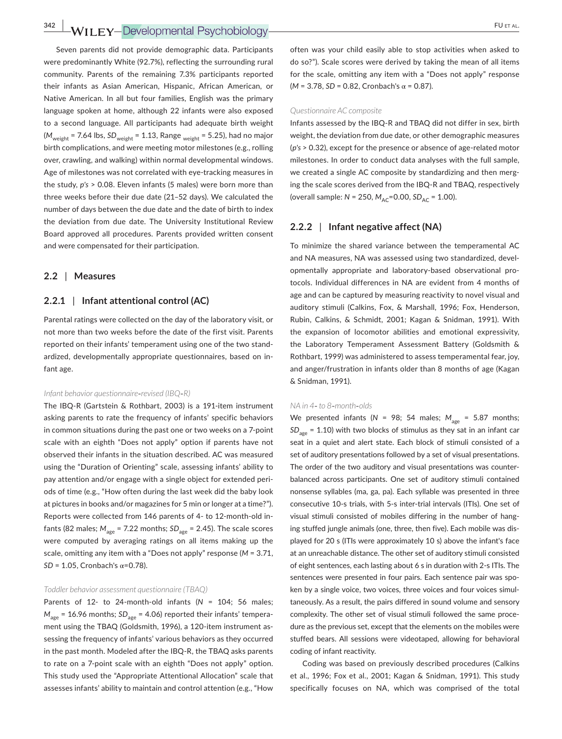## **342 WILEY-Developmental Psychobiology- PULLEY-Developmental Psychobiology-**

Seven parents did not provide demographic data. Participants were predominantly White (92.7%), reflecting the surrounding rural community. Parents of the remaining 7.3% participants reported their infants as Asian American, Hispanic, African American, or Native American. In all but four families, English was the primary language spoken at home, although 22 infants were also exposed to a second language. All participants had adequate birth weight ( $M_{\text{weight}}$  = 7.64 lbs,  $SD_{\text{weight}}$  = 1.13, Range <sub>weight</sub> = 5.25), had no major birth complications, and were meeting motor milestones (e.g., rolling over, crawling, and walking) within normal developmental windows. Age of milestones was not correlated with eye-tracking measures in the study, *p's* > 0.08. Eleven infants (5 males) were born more than three weeks before their due date (21–52 days). We calculated the number of days between the due date and the date of birth to index the deviation from due date. The University Institutional Review Board approved all procedures. Parents provided written consent and were compensated for their participation.

### **2.2** | **Measures**

#### **2.2.1** | **Infant attentional control (AC)**

Parental ratings were collected on the day of the laboratory visit, or not more than two weeks before the date of the first visit. Parents reported on their infants' temperament using one of the two stand‐ ardized, developmentally appropriate questionnaires, based on in‐ fant age.

#### *Infant behavior questionnaire*‐*revised (IBQ*‐*R)*

The IBQ‐R (Gartstein & Rothbart, 2003) is a 191‐item instrument asking parents to rate the frequency of infants' specific behaviors in common situations during the past one or two weeks on a 7‐point scale with an eighth "Does not apply" option if parents have not observed their infants in the situation described. AC was measured using the "Duration of Orienting" scale, assessing infants' ability to pay attention and/or engage with a single object for extended peri‐ ods of time (e.g., "How often during the last week did the baby look at pictures in books and/or magazines for 5 min or longer at a time?"). Reports were collected from 146 parents of 4‐ to 12‐month‐old in‐ fants (82 males;  $M_{\text{age}} = 7.22$  months;  $SD_{\text{age}} = 2.45$ ). The scale scores were computed by averaging ratings on all items making up the scale, omitting any item with a "Does not apply" response (*M* = 3.71, *SD* = 1.05, Cronbach's  $α=0.78$ ).

#### *Toddler behavior assessment questionnaire (TBAQ)*

Parents of 12- to 24-month-old infants (N = 104; 56 males;  $M_{\text{age}}$  = 16.96 months;  $SD_{\text{age}}$  = 4.06) reported their infants' temperament using the TBAQ (Goldsmith, 1996), a 120-item instrument assessing the frequency of infants' various behaviors as they occurred in the past month. Modeled after the IBQ‐R, the TBAQ asks parents to rate on a 7‐point scale with an eighth "Does not apply" option. This study used the "Appropriate Attentional Allocation" scale that assesses infants' ability to maintain and control attention (e.g., "How often was your child easily able to stop activities when asked to do so?"). Scale scores were derived by taking the mean of all items for the scale, omitting any item with a "Does not apply" response (*M* = 3.78, *SD* = 0.82, Cronbach's α = 0.87).

#### *Questionnaire AC composite*

Infants assessed by the IBQ‐R and TBAQ did not differ in sex, birth weight, the deviation from due date, or other demographic measures (*p's* > 0.32), except for the presence or absence of age‐related motor milestones. In order to conduct data analyses with the full sample, we created a single AC composite by standardizing and then merging the scale scores derived from the IBQ‐R and TBAQ, respectively (overall sample: *N* = 250,  $M_{AC}$ =0.00, *SD<sub>AC</sub>* = 1.00).

## **2.2.2** | **Infant negative affect (NA)**

To minimize the shared variance between the temperamental AC and NA measures, NA was assessed using two standardized, devel‐ opmentally appropriate and laboratory‐based observational pro‐ tocols. Individual differences in NA are evident from 4 months of age and can be captured by measuring reactivity to novel visual and auditory stimuli (Calkins, Fox, & Marshall, 1996; Fox, Henderson, Rubin, Calkins, & Schmidt, 2001; Kagan & Snidman, 1991). With the expansion of locomotor abilities and emotional expressivity, the Laboratory Temperament Assessment Battery (Goldsmith & Rothbart, 1999) was administered to assess temperamental fear, joy, and anger/frustration in infants older than 8 months of age (Kagan & Snidman, 1991).

#### *NA in 4*‐ *to 8*‐*month*‐*olds*

We presented infants ( $N = 98$ ; 54 males;  $M_{\text{age}} = 5.87$  months;  $SD<sub>age</sub> = 1.10$ ) with two blocks of stimulus as they sat in an infant car seat in a quiet and alert state. Each block of stimuli consisted of a set of auditory presentations followed by a set of visual presentations. The order of the two auditory and visual presentations was counter‐ balanced across participants. One set of auditory stimuli contained nonsense syllables (ma, ga, pa). Each syllable was presented in three consecutive 10‐s trials, with 5‐s inter‐trial intervals (ITIs). One set of visual stimuli consisted of mobiles differing in the number of hanging stuffed jungle animals (one, three, then five). Each mobile was dis‐ played for 20 s (ITIs were approximately 10 s) above the infant's face at an unreachable distance. The other set of auditory stimuli consisted of eight sentences, each lasting about 6 s in duration with 2‐s ITIs. The sentences were presented in four pairs. Each sentence pair was spoken by a single voice, two voices, three voices and four voices simul‐ taneously. As a result, the pairs differed in sound volume and sensory complexity. The other set of visual stimuli followed the same proce‐ dure as the previous set, except that the elements on the mobiles were stuffed bears. All sessions were videotaped, allowing for behavioral coding of infant reactivity.

Coding was based on previously described procedures (Calkins et al., 1996; Fox et al., 2001; Kagan & Snidman, 1991). This study specifically focuses on NA, which was comprised of the total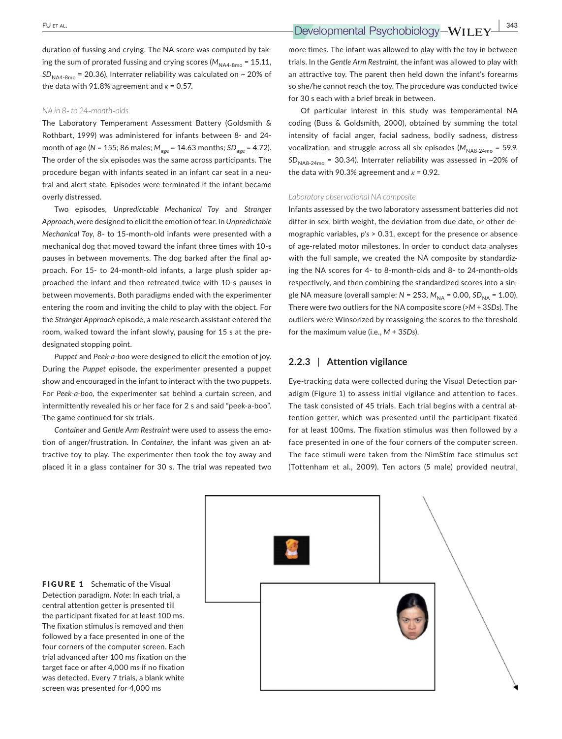duration of fussing and crying. The NA score was computed by tak‐ ing the sum of prorated fussing and crying scores ( $M_{NAA-8mo} = 15.11$ ,  $SD<sub>NAA-8mo</sub>$  = 20.36). Interrater reliability was calculated on  $\sim$  20% of the data with 91.8% agreement and  $\kappa$  = 0.57.

#### *NA in 8*‐ *to 24*‐*month*‐*olds*

The Laboratory Temperament Assessment Battery (Goldsmith & Rothbart, 1999) was administered for infants between 8‐ and 24‐ month of age (*N* = 155; 86 males;  $M_{\text{age}} = 14.63$  months; SD<sub>age</sub> = 4.72). The order of the six episodes was the same across participants. The procedure began with infants seated in an infant car seat in a neu‐ tral and alert state. Episodes were terminated if the infant became overly distressed.

Two episodes, *Unpredictable Mechanical Toy* and *Stranger Approach*, were designed to elicit the emotion of fear. In *Unpredictable Mechanical Toy*, 8‐ to 15‐month‐old infants were presented with a mechanical dog that moved toward the infant three times with 10‐s pauses in between movements. The dog barked after the final approach. For 15- to 24-month-old infants, a large plush spider approached the infant and then retreated twice with 10‐s pauses in between movements. Both paradigms ended with the experimenter entering the room and inviting the child to play with the object. For the *Stranger Approach* episode, a male research assistant entered the room, walked toward the infant slowly, pausing for 15 s at the pre‐ designated stopping point.

*Puppet* and *Peek‐a‐boo* were designed to elicit the emotion of joy. During the *Puppet* episode, the experimenter presented a puppet show and encouraged in the infant to interact with the two puppets. For *Peek‐a‐boo*, the experimenter sat behind a curtain screen, and intermittently revealed his or her face for 2 s and said "peek‐a‐boo". The game continued for six trials.

*Container* and *Gentle Arm Restraint* were used to assess the emo‐ tion of anger/frustration. In *Container*, the infant was given an at‐ tractive toy to play. The experimenter then took the toy away and placed it in a glass container for 30 s. The trial was repeated two

 **EU** ET AL. **EXECUTE:**  $\frac{1}{2}$  **Developmental Psychobiology-WILEY** 

more times. The infant was allowed to play with the toy in between trials. In the *Gentle Arm Restraint,* the infant was allowed to play with an attractive toy. The parent then held down the infant's forearms so she/he cannot reach the toy. The procedure was conducted twice for 30 s each with a brief break in between.

Of particular interest in this study was temperamental NA coding (Buss & Goldsmith, 2000), obtained by summing the total intensity of facial anger, facial sadness, bodily sadness, distress vocalization, and struggle across all six episodes ( $M_{\text{NAB-24mo}}$  = 59.9,  $SD<sub>NAB-24mo</sub>$  = 30.34). Interrater reliability was assessed in ~20% of the data with 90.3% agreement and  $\kappa$  = 0.92.

#### *Laboratory observational NA composite*

Infants assessed by the two laboratory assessment batteries did not differ in sex, birth weight, the deviation from due date, or other de‐ mographic variables, *p's* > 0.31, except for the presence or absence of age‐related motor milestones. In order to conduct data analyses with the full sample, we created the NA composite by standardizing the NA scores for 4‐ to 8‐month‐olds and 8‐ to 24‐month‐olds respectively, and then combining the standardized scores into a sin‐ gle NA measure (overall sample: *N* = 253, *M*<sub>NA</sub> = 0.00, *SD*<sub>NA</sub> = 1.00). There were two outliers for the NA composite score (>*M* + 3*SDs*). The outliers were Winsorized by reassigning the scores to the threshold for the maximum value (i.e., *M* + 3*SDs*).

## **2.2.3** | **Attention vigilance**

Eye‐tracking data were collected during the Visual Detection par‐ adigm (Figure 1) to assess initial vigilance and attention to faces. The task consisted of 45 trials. Each trial begins with a central at‐ tention getter, which was presented until the participant fixated for at least 100ms. The fixation stimulus was then followed by a face presented in one of the four corners of the computer screen. The face stimuli were taken from the NimStim face stimulus set (Tottenham et al., 2009). Ten actors (5 male) provided neutral,



FIGURE 1 Schematic of the Visual Detection paradigm. *Note*: In each trial, a central attention getter is presented till the participant fixated for at least 100 ms. The fixation stimulus is removed and then followed by a face presented in one of the four corners of the computer screen. Each trial advanced after 100 ms fixation on the target face or after 4,000 ms if no fixation was detected. Every 7 trials, a blank white screen was presented for 4,000 ms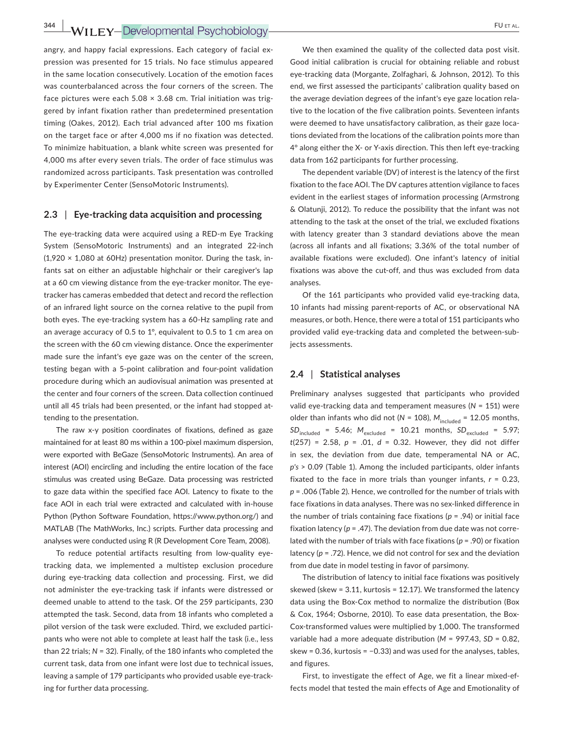angry, and happy facial expressions. Each category of facial ex‐ pression was presented for 15 trials. No face stimulus appeared in the same location consecutively. Location of the emotion faces was counterbalanced across the four corners of the screen. The face pictures were each  $5.08 \times 3.68$  cm. Trial initiation was triggered by infant fixation rather than predetermined presentation timing (Oakes, 2012). Each trial advanced after 100 ms fixation on the target face or after 4,000 ms if no fixation was detected. To minimize habituation, a blank white screen was presented for 4,000 ms after every seven trials. The order of face stimulus was randomized across participants. Task presentation was controlled by Experimenter Center (SensoMotoric Instruments).

### **2.3** | **Eye‐tracking data acquisition and processing**

The eye-tracking data were acquired using a RED-m Eye Tracking System (SensoMotoric Instruments) and an integrated 22‐inch  $(1,920 \times 1,080$  at 60Hz) presentation monitor. During the task, infants sat on either an adjustable highchair or their caregiver's lap at a 60 cm viewing distance from the eye-tracker monitor. The eyetracker has cameras embedded that detect and record the reflection of an infrared light source on the cornea relative to the pupil from both eyes. The eye‐tracking system has a 60‐Hz sampling rate and an average accuracy of 0.5 to 1°, equivalent to 0.5 to 1 cm area on the screen with the 60 cm viewing distance. Once the experimenter made sure the infant's eye gaze was on the center of the screen, testing began with a 5‐point calibration and four‐point validation procedure during which an audiovisual animation was presented at the center and four corners of the screen. Data collection continued until all 45 trials had been presented, or the infant had stopped attending to the presentation.

The raw x-y position coordinates of fixations, defined as gaze maintained for at least 80 ms within a 100‐pixel maximum dispersion, were exported with BeGaze (SensoMotoric Instruments). An area of interest (AOI) encircling and including the entire location of the face stimulus was created using BeGaze. Data processing was restricted to gaze data within the specified face AOI. Latency to fixate to the face AOI in each trial were extracted and calculated with in‐house Python (Python Software Foundation, [https://www.python.org/\)](https://www.python.org/) and MATLAB (The MathWorks, Inc.) scripts. Further data processing and analyses were conducted using R (R Development Core Team, 2008).

To reduce potential artifacts resulting from low-quality eyetracking data, we implemented a multistep exclusion procedure during eye‐tracking data collection and processing. First, we did not administer the eye‐tracking task if infants were distressed or deemed unable to attend to the task. Of the 259 participants, 230 attempted the task. Second, data from 18 infants who completed a pilot version of the task were excluded. Third, we excluded participants who were not able to complete at least half the task (i.e., less than 22 trials; *N* = 32). Finally, of the 180 infants who completed the current task, data from one infant were lost due to technical issues, leaving a sample of 179 participants who provided usable eye-tracking for further data processing.

We then examined the quality of the collected data post visit. Good initial calibration is crucial for obtaining reliable and robust eye‐tracking data (Morgante, Zolfaghari, & Johnson, 2012). To this end, we first assessed the participants' calibration quality based on the average deviation degrees of the infant's eye gaze location rela‐ tive to the location of the five calibration points. Seventeen infants were deemed to have unsatisfactory calibration, as their gaze locations deviated from the locations of the calibration points more than 4° along either the X‐ or Y‐axis direction. This then left eye‐tracking data from 162 participants for further processing.

The dependent variable (DV) of interest is the latency of the first fixation to the face AOI. The DV captures attention vigilance to faces evident in the earliest stages of information processing (Armstrong & Olatunji, 2012). To reduce the possibility that the infant was not attending to the task at the onset of the trial, we excluded fixations with latency greater than 3 standard deviations above the mean (across all infants and all fixations; 3.36% of the total number of available fixations were excluded). One infant's latency of initial fixations was above the cut-off, and thus was excluded from data analyses.

Of the 161 participants who provided valid eye-tracking data, 10 infants had missing parent‐reports of AC, or observational NA measures, or both. Hence, there were a total of 151 participants who provided valid eye-tracking data and completed the between-subjects assessments.

## **2.4** | **Statistical analyses**

Preliminary analyses suggested that participants who provided valid eye‐tracking data and temperament measures (*N* = 151) were older than infants who did not ( $N = 108$ ),  $M_{\text{included}} = 12.05$  months,  $SD_{\text{included}} = 5.46$ ;  $M_{\text{excluded}} = 10.21$  months,  $SD_{\text{excluded}} = 5.97$ ; *t*(257) = 2.58, *p* = .01, *d* = 0.32. However, they did not differ in sex, the deviation from due date, temperamental NA or AC, *p's* > 0.09 (Table 1). Among the included participants, older infants fixated to the face in more trials than younger infants, *r* = 0.23, *p* = .006 (Table 2). Hence, we controlled for the number of trials with face fixations in data analyses. There was no sex‐linked difference in the number of trials containing face fixations (*p* = .94) or initial face fixation latency ( $p = .47$ ). The deviation from due date was not correlated with the number of trials with face fixations (*p* = .90) or fixation latency (*p* = .72). Hence, we did not control for sex and the deviation from due date in model testing in favor of parsimony.

The distribution of latency to initial face fixations was positively skewed (skew = 3.11, kurtosis = 12.17). We transformed the latency data using the Box‐Cox method to normalize the distribution (Box & Cox, 1964; Osborne, 2010). To ease data presentation, the Box‐ Cox‐transformed values were multiplied by 1,000. The transformed variable had a more adequate distribution (*M* = 997.43, *SD* = 0.82, skew = 0.36, kurtosis = −0.33) and was used for the analyses, tables, and figures.

First, to investigate the effect of Age, we fit a linear mixed‐ef‐ fects model that tested the main effects of Age and Emotionality of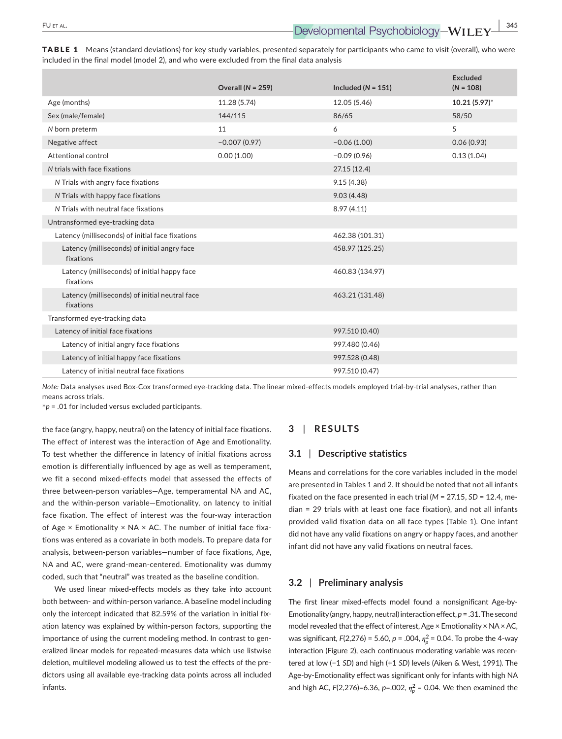|                                                             | Overall ( $N = 259$ ) | Included ( $N = 151$ ) | <b>Excluded</b><br>$(N = 108)$ |
|-------------------------------------------------------------|-----------------------|------------------------|--------------------------------|
| Age (months)                                                | 11.28 (5.74)          | 12.05 (5.46)           | 10.21 (5.97)*                  |
| Sex (male/female)                                           | 144/115               | 86/65                  | 58/50                          |
| N born preterm                                              | 11                    | 6                      | 5                              |
| Negative affect                                             | $-0.007(0.97)$        | $-0.06(1.00)$          | 0.06(0.93)                     |
| Attentional control                                         | 0.00(1.00)            | $-0.09(0.96)$          | 0.13(1.04)                     |
| N trials with face fixations                                |                       | 27.15(12.4)            |                                |
| N Trials with angry face fixations                          |                       | 9.15(4.38)             |                                |
| N Trials with happy face fixations                          |                       | 9.03(4.48)             |                                |
| N Trials with neutral face fixations                        |                       | 8.97(4.11)             |                                |
| Untransformed eye-tracking data                             |                       |                        |                                |
| Latency (milliseconds) of initial face fixations            |                       | 462.38 (101.31)        |                                |
| Latency (milliseconds) of initial angry face<br>fixations   |                       | 458.97 (125.25)        |                                |
| Latency (milliseconds) of initial happy face<br>fixations   |                       | 460.83 (134.97)        |                                |
| Latency (milliseconds) of initial neutral face<br>fixations |                       | 463.21 (131.48)        |                                |
| Transformed eye-tracking data                               |                       |                        |                                |
| Latency of initial face fixations                           |                       | 997.510 (0.40)         |                                |
| Latency of initial angry face fixations                     |                       | 997.480 (0.46)         |                                |
| Latency of initial happy face fixations                     |                       | 997.528 (0.48)         |                                |
| Latency of initial neutral face fixations                   |                       | 997.510 (0.47)         |                                |

TABLE 1 Means (standard deviations) for key study variables, presented separately for participants who came to visit (overall), who were included in the final model (model 2), and who were excluded from the final data analysis

*Note:* Data analyses used Box‐Cox transformed eye‐tracking data. The linear mixed‐effects models employed trial‐by‐trial analyses, rather than means across trials.

\**p* = .01 for included versus excluded participants.

the face (angry, happy, neutral) on the latency of initial face fixations. The effect of interest was the interaction of Age and Emotionality. To test whether the difference in latency of initial fixations across emotion is differentially influenced by age as well as temperament, we fit a second mixed‐effects model that assessed the effects of three between‐person variables—Age, temperamental NA and AC, and the within‐person variable—Emotionality, on latency to initial face fixation. The effect of interest was the four-way interaction of Age  $\times$  Emotionality  $\times$  NA  $\times$  AC. The number of initial face fixations was entered as a covariate in both models. To prepare data for analysis, between‐person variables—number of face fixations, Age, NA and AC, were grand‐mean‐centered. Emotionality was dummy coded, such that "neutral" was treated as the baseline condition.

We used linear mixed-effects models as they take into account both between- and within-person variance. A baseline model including only the intercept indicated that 82.59% of the variation in initial fix‐ ation latency was explained by within‐person factors, supporting the importance of using the current modeling method. In contrast to generalized linear models for repeated‐measures data which use listwise deletion, multilevel modeling allowed us to test the effects of the pre‐ dictors using all available eye‐tracking data points across all included infants.

## **3** | **RESULTS**

#### **3.1** | **Descriptive statistics**

Means and correlations for the core variables included in the model are presented in Tables 1 and 2. It should be noted that not all infants fixated on the face presented in each trial (*M* = 27.15, *SD* = 12.4, me‐ dian = 29 trials with at least one face fixation), and not all infants provided valid fixation data on all face types (Table 1). One infant did not have any valid fixations on angry or happy faces, and another infant did not have any valid fixations on neutral faces.

#### **3.2** | **Preliminary analysis**

The first linear mixed‐effects model found a nonsignificant Age‐by‐ Emotionality (angry, happy, neutral) interaction effect, *p*=.31. The second model revealed that the effect of interest, Age  $\times$  Emotionality  $\times$  NA  $\times$  AC, was significant, *F*(2,276) = 5.60, *p* = .004,  $n_p^2$  = 0.04. To probe the 4-way interaction (Figure 2), each continuous moderating variable was recentered at low (−1 *SD*) and high (+1 *SD*) levels (Aiken & West, 1991). The Age‐by‐Emotionality effect was significant only for infants with high NA and high AC,  $F(2,276)=6.36$ ,  $p=.002$ ,  $\eta_p^2 = 0.04$ . We then examined the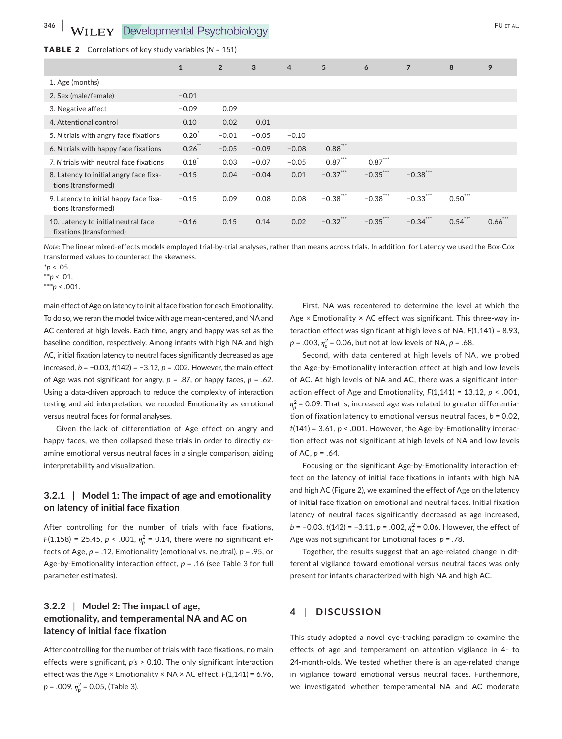#### TABLE 2 Correlations of key study variables (*N* = 151)

|                                                                | $\mathbf{1}$ | $\overline{2}$ | 3       | $\overline{4}$ | 5           | 6           | $\overline{7}$ | 8          | 9          |
|----------------------------------------------------------------|--------------|----------------|---------|----------------|-------------|-------------|----------------|------------|------------|
| 1. Age (months)                                                |              |                |         |                |             |             |                |            |            |
| 2. Sex (male/female)                                           | $-0.01$      |                |         |                |             |             |                |            |            |
| 3. Negative affect                                             | $-0.09$      | 0.09           |         |                |             |             |                |            |            |
| 4. Attentional control                                         | 0.10         | 0.02           | 0.01    |                |             |             |                |            |            |
| 5. N trials with angry face fixations                          | 0.20         | $-0.01$        | $-0.05$ | $-0.10$        |             |             |                |            |            |
| 6. N trials with happy face fixations                          | $0.26$ **    | $-0.05$        | $-0.09$ | $-0.08$        | $0.88$ ***  |             |                |            |            |
| 7. N trials with neutral face fixations                        | 0.18         | 0.03           | $-0.07$ | $-0.05$        | $0.87***$   | $0.87***$   |                |            |            |
| 8. Latency to initial angry face fixa-<br>tions (transformed)  | $-0.15$      | 0.04           | $-0.04$ | 0.01           | $-0.37***$  | $-0.35***$  | $-0.38$ ***    |            |            |
| 9. Latency to initial happy face fixa-<br>tions (transformed)  | $-0.15$      | 0.09           | 0.08    | 0.08           | $-0.38$ *** | $-0.38$ *** | $-0.33$ ***    | $0.50***$  |            |
| 10. Latency to initial neutral face<br>fixations (transformed) | $-0.16$      | 0.15           | 0.14    | 0.02           | $-0.32$ *** | $-0.35***$  | $-0.34$ ***    | $0.54$ *** | $0.66$ *** |

*Note:* The linear mixed‐effects models employed trial‐by‐trial analyses, rather than means across trials. In addition, for Latency we used the Box‐Cox transformed values to counteract the skewness.

\**p* < .05,

\*\**p* < .01,

\*\*\**p* < .001.

main effect of Age on latency to initial face fixation for each Emotionality. To do so, we reran the model twice with age mean‐centered, and NA and AC centered at high levels. Each time, angry and happy was set as the baseline condition, respectively. Among infants with high NA and high AC, initial fixation latency to neutral faces significantly decreased as age increased, *b* = −0.03, *t*(142) = −3.12, *p* = .002. However, the main effect of Age was not significant for angry, *p* = .87, or happy faces, *p* = .62. Using a data‐driven approach to reduce the complexity of interaction testing and aid interpretation, we recoded Emotionality as emotional versus neutral faces for formal analyses.

Given the lack of differentiation of Age effect on angry and happy faces, we then collapsed these trials in order to directly examine emotional versus neutral faces in a single comparison, aiding interpretability and visualization.

## **3.2.1** | **Model 1: The impact of age and emotionality on latency of initial face fixation**

After controlling for the number of trials with face fixations, *F*(1,158) = 25.45, *p* < .001,  $\eta_p^2$  = 0.14, there were no significant effects of Age, *p* = .12, Emotionality (emotional vs. neutral), *p* = .95, or Age‐by‐Emotionality interaction effect, *p* = .16 (see Table 3 for full parameter estimates).

## **3.2.2** | **Model 2: The impact of age, emotionality, and temperamental NA and AC on latency of initial face fixation**

After controlling for the number of trials with face fixations, no main effects were significant, *p's* > 0.10. The only significant interaction effect was the Age × Emotionality × NA × AC effect, *F*(1,141) = 6.96, *p* = .009, *𝜂*<sup>2</sup> *<sup>p</sup>* = 0.05, (Table 3).

First, NA was recentered to determine the level at which the Age  $\times$  Emotionality  $\times$  AC effect was significant. This three-way interaction effect was significant at high levels of NA, *F*(1,141) = 8.93,  $p = .003, \eta_p^2 = 0.06$ , but not at low levels of NA,  $p = .68$ .

Second, with data centered at high levels of NA, we probed the Age‐by‐Emotionality interaction effect at high and low levels of AC. At high levels of NA and AC, there was a significant inter‐ action effect of Age and Emotionality, *F*(1,141) = 13.12, *p* < .001,  $\eta_p^2$  = 0.09. That is, increased age was related to greater differentiation of fixation latency to emotional versus neutral faces,  $b = 0.02$ ,  $t(141) = 3.61, p < .001$ . However, the Age-by-Emotionality interaction effect was not significant at high levels of NA and low levels of AC, *p* = .64.

Focusing on the significant Age‐by‐Emotionality interaction ef‐ fect on the latency of initial face fixations in infants with high NA and high AC (Figure 2), we examined the effect of Age on the latency of initial face fixation on emotional and neutral faces. Initial fixation latency of neutral faces significantly decreased as age increased, *b* = −0.03, *t*(142) = −3.11, *p* = .002,  $n_p^2$  = 0.06. However, the effect of Age was not significant for Emotional faces, *p* = .78.

Together, the results suggest that an age‐related change in dif‐ ferential vigilance toward emotional versus neutral faces was only present for infants characterized with high NA and high AC.

## **4** | **DISCUSSION**

This study adopted a novel eye‐tracking paradigm to examine the effects of age and temperament on attention vigilance in 4‐ to 24‐month‐olds. We tested whether there is an age‐related change in vigilance toward emotional versus neutral faces. Furthermore, we investigated whether temperamental NA and AC moderate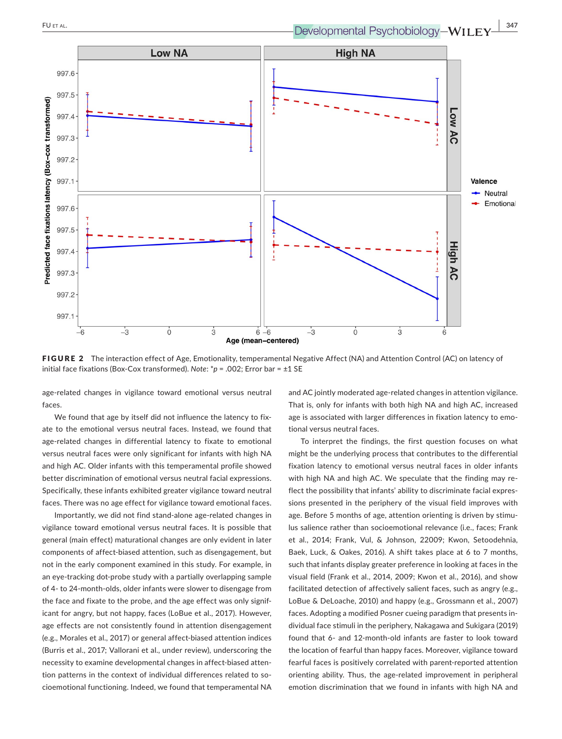

FIGURE 2 The interaction effect of Age, Emotionality, temperamental Negative Affect (NA) and Attention Control (AC) on latency of initial face fixations (Box‐Cox transformed). *Note*: \**p* = .002; Error bar = ±1 SE

age‐related changes in vigilance toward emotional versus neutral faces.

We found that age by itself did not influence the latency to fixate to the emotional versus neutral faces. Instead, we found that age‐related changes in differential latency to fixate to emotional versus neutral faces were only significant for infants with high NA and high AC. Older infants with this temperamental profile showed better discrimination of emotional versus neutral facial expressions. Specifically, these infants exhibited greater vigilance toward neutral faces. There was no age effect for vigilance toward emotional faces.

Importantly, we did not find stand‐alone age‐related changes in vigilance toward emotional versus neutral faces. It is possible that general (main effect) maturational changes are only evident in later components of affect‐biased attention, such as disengagement, but not in the early component examined in this study. For example, in an eye-tracking dot-probe study with a partially overlapping sample of 4‐ to 24‐month‐olds, older infants were slower to disengage from the face and fixate to the probe, and the age effect was only signif‐ icant for angry, but not happy, faces (LoBue et al., 2017). However, age effects are not consistently found in attention disengagement (e.g., Morales et al., 2017) or general affect‐biased attention indices (Burris et al., 2017; Vallorani et al., under review), underscoring the necessity to examine developmental changes in affect-biased attention patterns in the context of individual differences related to socioemotional functioning. Indeed, we found that temperamental NA

and AC jointly moderated age-related changes in attention vigilance. That is, only for infants with both high NA and high AC, increased age is associated with larger differences in fixation latency to emotional versus neutral faces.

To interpret the findings, the first question focuses on what might be the underlying process that contributes to the differential fixation latency to emotional versus neutral faces in older infants with high NA and high AC. We speculate that the finding may reflect the possibility that infants' ability to discriminate facial expres‐ sions presented in the periphery of the visual field improves with age. Before 5 months of age, attention orienting is driven by stimulus salience rather than socioemotional relevance (i.e., faces; Frank et al., 2014; Frank, Vul, & Johnson, 22009; Kwon, Setoodehnia, Baek, Luck, & Oakes, 2016). A shift takes place at 6 to 7 months, such that infants display greater preference in looking at faces in the visual field (Frank et al., 2014, 2009; Kwon et al., 2016), and show facilitated detection of affectively salient faces, such as angry (e.g., LoBue & DeLoache, 2010) and happy (e.g., Grossmann et al., 2007) faces. Adopting a modified Posner cueing paradigm that presents in‐ dividual face stimuli in the periphery, Nakagawa and Sukigara (2019) found that 6‐ and 12‐month‐old infants are faster to look toward the location of fearful than happy faces. Moreover, vigilance toward fearful faces is positively correlated with parent‐reported attention orienting ability. Thus, the age‐related improvement in peripheral emotion discrimination that we found in infants with high NA and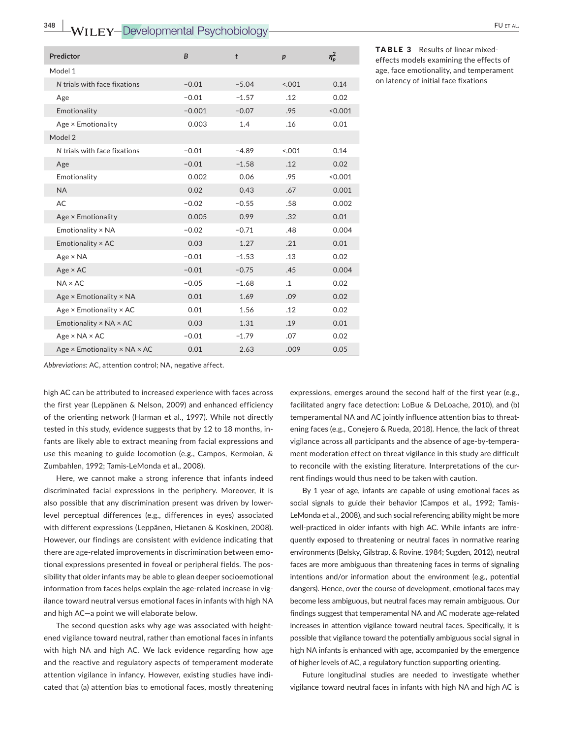| Predictor                                         | B        | t       | p         | $\eta_p^2$ |
|---------------------------------------------------|----------|---------|-----------|------------|
| Model 1                                           |          |         |           |            |
| N trials with face fixations                      | $-0.01$  | $-5.04$ | 0.001     | 0.14       |
| Age                                               | $-0.01$  | $-1.57$ | .12       | 0.02       |
| Emotionality                                      | $-0.001$ | $-0.07$ | .95       | < 0.001    |
| Age × Emotionality                                | 0.003    | 1.4     | .16       | 0.01       |
| Model 2                                           |          |         |           |            |
| N trials with face fixations                      | $-0.01$  | $-4.89$ | < 0.01    | 0.14       |
| Age                                               | $-0.01$  | $-1.58$ | .12       | 0.02       |
| Emotionality                                      | 0.002    | 0.06    | .95       | < 0.001    |
| <b>NA</b>                                         | 0.02     | 0.43    | .67       | 0.001      |
| AC                                                | $-0.02$  | $-0.55$ | .58       | 0.002      |
| Age × Emotionality                                | 0.005    | 0.99    | .32       | 0.01       |
| Emotionality × NA                                 | $-0.02$  | $-0.71$ | .48       | 0.004      |
| Emotionality × AC                                 | 0.03     | 1.27    | .21       | 0.01       |
| $Age \times NA$                                   | $-0.01$  | $-1.53$ | .13       | 0.02       |
| $Age \times AC$                                   | $-0.01$  | $-0.75$ | .45       | 0.004      |
| $NA \times AC$                                    | $-0.05$  | $-1.68$ | $\cdot$ 1 | 0.02       |
| Age × Emotionality × NA                           | 0.01     | 1.69    | .09       | 0.02       |
| Age × Emotionality × AC                           | 0.01     | 1.56    | .12       | 0.02       |
| Emotionality × NA × AC                            | 0.03     | 1.31    | .19       | 0.01       |
| $Age \times NA \times AC$                         | $-0.01$  | $-1.79$ | .07       | 0.02       |
| Age $\times$ Emotionality $\times$ NA $\times$ AC | 0.01     | 2.63    | .009      | 0.05       |
|                                                   |          |         |           |            |

TABLE 3 Results of linear mixed‐ effects models examining the effects of age, face emotionality, and temperament on latency of initial face fixations

*Abbreviations:* AC, attention control; NA, negative affect.

high AC can be attributed to increased experience with faces across the first year (Leppänen & Nelson, 2009) and enhanced efficiency of the orienting network (Harman et al., 1997). While not directly tested in this study, evidence suggests that by 12 to 18 months, in‐ fants are likely able to extract meaning from facial expressions and use this meaning to guide locomotion (e.g., Campos, Kermoian, & Zumbahlen, 1992; Tamis‐LeMonda et al., 2008).

Here, we cannot make a strong inference that infants indeed discriminated facial expressions in the periphery. Moreover, it is also possible that any discrimination present was driven by lower‐ level perceptual differences (e.g., differences in eyes) associated with different expressions (Leppänen, Hietanen & Koskinen, 2008). However, our findings are consistent with evidence indicating that there are age‐related improvements in discrimination between emo‐ tional expressions presented in foveal or peripheral fields. The pos‐ sibility that older infants may be able to glean deeper socioemotional information from faces helps explain the age-related increase in vigilance toward neutral versus emotional faces in infants with high NA and high AC—a point we will elaborate below.

The second question asks why age was associated with heightened vigilance toward neutral, rather than emotional faces in infants with high NA and high AC. We lack evidence regarding how age and the reactive and regulatory aspects of temperament moderate attention vigilance in infancy. However, existing studies have indi‐ cated that (a) attention bias to emotional faces, mostly threatening expressions, emerges around the second half of the first year (e.g., facilitated angry face detection: LoBue & DeLoache, 2010), and (b) temperamental NA and AC jointly influence attention bias to threat‐ ening faces (e.g., Conejero & Rueda, 2018). Hence, the lack of threat vigilance across all participants and the absence of age‐by‐tempera‐ ment moderation effect on threat vigilance in this study are difficult to reconcile with the existing literature. Interpretations of the cur‐ rent findings would thus need to be taken with caution.

By 1 year of age, infants are capable of using emotional faces as social signals to guide their behavior (Campos et al., 1992; Tamis-LeMonda et al., 2008), and such social referencing ability might be more well-practiced in older infants with high AC. While infants are infrequently exposed to threatening or neutral faces in normative rearing environments (Belsky, Gilstrap, & Rovine, 1984; Sugden, 2012), neutral faces are more ambiguous than threatening faces in terms of signaling intentions and/or information about the environment (e.g., potential dangers). Hence, over the course of development, emotional faces may become less ambiguous, but neutral faces may remain ambiguous. Our findings suggest that temperamental NA and AC moderate age-related increases in attention vigilance toward neutral faces. Specifically, it is possible that vigilance toward the potentially ambiguous social signal in high NA infants is enhanced with age, accompanied by the emergence of higher levels of AC, a regulatory function supporting orienting.

Future longitudinal studies are needed to investigate whether vigilance toward neutral faces in infants with high NA and high AC is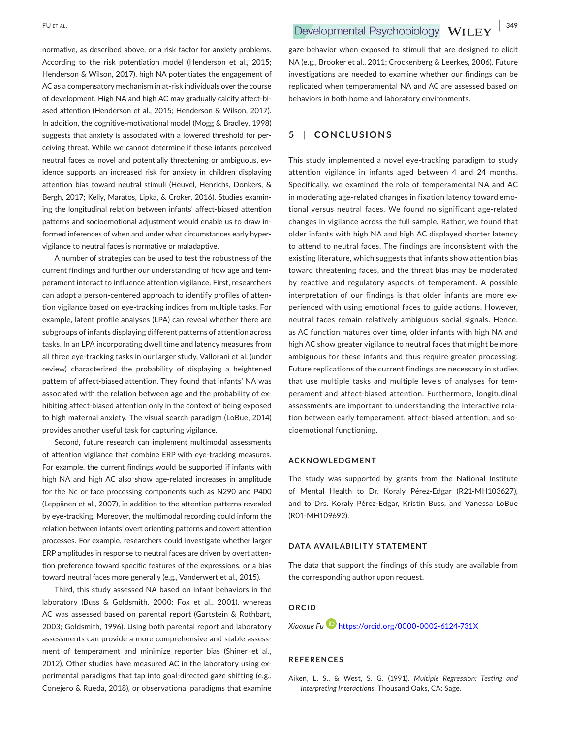normative, as described above, or a risk factor for anxiety problems. According to the risk potentiation model (Henderson et al., 2015; Henderson & Wilson, 2017), high NA potentiates the engagement of AC as a compensatory mechanism in at-risk individuals over the course of development. High NA and high AC may gradually calcify affect‐bi‐ ased attention (Henderson et al., 2015; Henderson & Wilson, 2017). In addition, the cognitive-motivational model (Mogg & Bradley, 1998) suggests that anxiety is associated with a lowered threshold for per‐ ceiving threat. While we cannot determine if these infants perceived neutral faces as novel and potentially threatening or ambiguous, ev‐ idence supports an increased risk for anxiety in children displaying attention bias toward neutral stimuli (Heuvel, Henrichs, Donkers, & Bergh, 2017; Kelly, Maratos, Lipka, & Croker, 2016). Studies examin‐ ing the longitudinal relation between infants' affect‐biased attention patterns and socioemotional adjustment would enable us to draw in‐ formed inferences of when and under what circumstances early hyper‐ vigilance to neutral faces is normative or maladaptive.

A number of strategies can be used to test the robustness of the current findings and further our understanding of how age and tem‐ perament interact to influence attention vigilance. First, researchers can adopt a person‐centered approach to identify profiles of atten‐ tion vigilance based on eye‐tracking indices from multiple tasks. For example, latent profile analyses (LPA) can reveal whether there are subgroups of infants displaying different patterns of attention across tasks. In an LPA incorporating dwell time and latency measures from all three eye-tracking tasks in our larger study, Vallorani et al. (under review) characterized the probability of displaying a heightened pattern of affect-biased attention. They found that infants' NA was associated with the relation between age and the probability of exhibiting affect-biased attention only in the context of being exposed to high maternal anxiety. The visual search paradigm (LoBue, 2014) provides another useful task for capturing vigilance.

Second, future research can implement multimodal assessments of attention vigilance that combine ERP with eye-tracking measures. For example, the current findings would be supported if infants with high NA and high AC also show age-related increases in amplitude for the Nc or face processing components such as N290 and P400 (Leppänen et al., 2007), in addition to the attention patterns revealed by eye-tracking. Moreover, the multimodal recording could inform the relation between infants' overt orienting patterns and covert attention processes. For example, researchers could investigate whether larger ERP amplitudes in response to neutral faces are driven by overt atten‐ tion preference toward specific features of the expressions, or a bias toward neutral faces more generally (e.g., Vanderwert et al., 2015).

Third, this study assessed NA based on infant behaviors in the laboratory (Buss & Goldsmith, 2000; Fox et al., 2001), whereas AC was assessed based on parental report (Gartstein & Rothbart, 2003; Goldsmith, 1996). Using both parental report and laboratory assessments can provide a more comprehensive and stable assess‐ ment of temperament and minimize reporter bias (Shiner et al., 2012). Other studies have measured AC in the laboratory using ex‐ perimental paradigms that tap into goal-directed gaze shifting (e.g., Conejero & Rueda, 2018), or observational paradigms that examine

gaze behavior when exposed to stimuli that are designed to elicit NA (e.g., Brooker et al., 2011; Crockenberg & Leerkes, 2006). Future investigations are needed to examine whether our findings can be replicated when temperamental NA and AC are assessed based on behaviors in both home and laboratory environments.

## **5** | **CONCLUSIONS**

This study implemented a novel eye-tracking paradigm to study attention vigilance in infants aged between 4 and 24 months. Specifically, we examined the role of temperamental NA and AC in moderating age-related changes in fixation latency toward emotional versus neutral faces. We found no significant age-related changes in vigilance across the full sample. Rather, we found that older infants with high NA and high AC displayed shorter latency to attend to neutral faces. The findings are inconsistent with the existing literature, which suggests that infants show attention bias toward threatening faces, and the threat bias may be moderated by reactive and regulatory aspects of temperament. A possible interpretation of our findings is that older infants are more experienced with using emotional faces to guide actions. However, neutral faces remain relatively ambiguous social signals. Hence, as AC function matures over time, older infants with high NA and high AC show greater vigilance to neutral faces that might be more ambiguous for these infants and thus require greater processing. Future replications of the current findings are necessary in studies that use multiple tasks and multiple levels of analyses for tem‐ perament and affect‐biased attention. Furthermore, longitudinal assessments are important to understanding the interactive rela‐ tion between early temperament, affect-biased attention, and socioemotional functioning.

#### **ACKNOWLEDGMENT**

The study was supported by grants from the National Institute of Mental Health to Dr. Koraly Pérez‐Edgar (R21‐MH103627), and to Drs. Koraly Pérez‐Edgar, Kristin Buss, and Vanessa LoBue (R01‐MH109692).

#### **DATA AVAILABILITY STATEMENT**

The data that support the findings of this study are available from the corresponding author upon request.

### **ORCID**

*Xiaoxue F[u](https://orcid.org/0000-0002-6124-731X)* <https://orcid.org/0000-0002-6124-731X>

#### **REFERENCES**

Aiken, L. S., & West, S. G. (1991). *Multiple Regression: Testing and Interpreting Interactions*. Thousand Oaks, CA: Sage.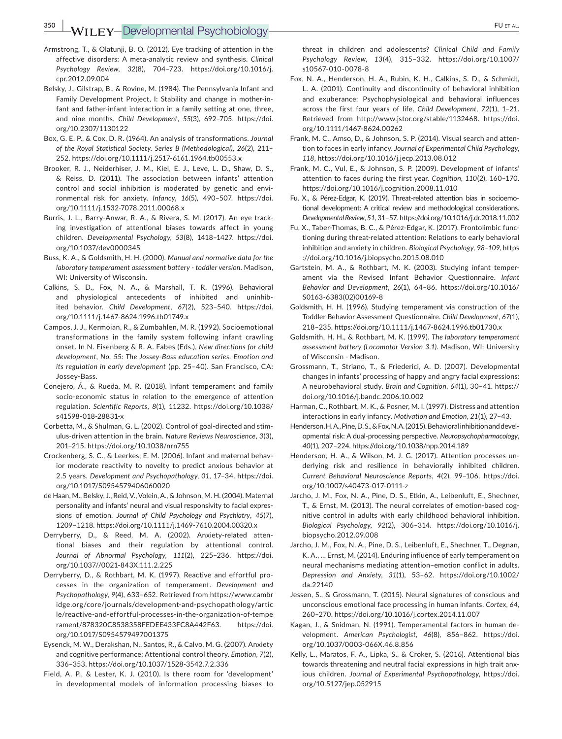**350 WILEY-Developmental Psychobiology- PULLEY-Developmental Psychobiology-**

- Armstrong, T., & Olatunji, B. O. (2012). Eye tracking of attention in the affective disorders: A meta‐analytic review and synthesis. *Clinical Psychology Review*, *32*(8), 704–723. [https://doi.org/10.1016/j.](https://doi.org/10.1016/j.cpr.2012.09.004) [cpr.2012.09.004](https://doi.org/10.1016/j.cpr.2012.09.004)
- Belsky, J., Gilstrap, B., & Rovine, M. (1984). The Pennsylvania Infant and Family Development Project, I: Stability and change in mother‐in‐ fant and father-infant interaction in a family setting at one, three, and nine months. *Child Development*, *55*(3), 692–705. [https://doi.](https://doi.org/10.2307/1130122) [org/10.2307/1130122](https://doi.org/10.2307/1130122)
- Box, G. E. P., & Cox, D. R. (1964). An analysis of transformations. *Journal of the Royal Statistical Society. Series B (Methodological)*, *26*(2), 211– 252. <https://doi.org/10.1111/j.2517-6161.1964.tb00553.x>
- Brooker, R. J., Neiderhiser, J. M., Kiel, E. J., Leve, L. D., Shaw, D. S., & Reiss, D. (2011). The association between infants' attention control and social inhibition is moderated by genetic and envi‐ ronmental risk for anxiety. *Infancy*, *16*(5), 490–507. [https://doi.](https://doi.org/10.1111/j.1532-7078.2011.00068.x) [org/10.1111/j.1532-7078.2011.00068.x](https://doi.org/10.1111/j.1532-7078.2011.00068.x)
- Burris, J. L., Barry‐Anwar, R. A., & Rivera, S. M. (2017). An eye track‐ ing investigation of attentional biases towards affect in young children. *Developmental Psychology*, *53*(8), 1418–1427. [https://doi.](https://doi.org/10.1037/dev0000345) [org/10.1037/dev0000345](https://doi.org/10.1037/dev0000345)
- Buss, K. A., & Goldsmith, H. H. (2000). *Manual and normative data for the laboratory temperament assessment battery ‐ toddler version*. Madison, WI: University of Wisconsin.
- Calkins, S. D., Fox, N. A., & Marshall, T. R. (1996). Behavioral and physiological antecedents of inhibited and uninhibited behavior. *Child Development*, *67*(2), 523–540. [https://doi.](https://doi.org/10.1111/j.1467-8624.1996.tb01749.x) [org/10.1111/j.1467-8624.1996.tb01749.x](https://doi.org/10.1111/j.1467-8624.1996.tb01749.x)
- Campos, J. J., Kermoian, R., & Zumbahlen, M. R. (1992). Socioemotional transformations in the family system following infant crawling onset. In N. Eisenberg & R. A. Fabes (Eds.), *New directions for child development, No. 55: The Jossey-Bass education series. Emotion and its regulation in early development* (pp. 25–40). San Francisco, CA: Jossey‐Bass.
- Conejero, Á., & Rueda, M. R. (2018). Infant temperament and family socio‐economic status in relation to the emergence of attention regulation. *Scientific Reports*, *8*(1), 11232. [https://doi.org/10.1038/](https://doi.org/10.1038/s41598-018-28831-x) [s41598-018-28831-x](https://doi.org/10.1038/s41598-018-28831-x)
- Corbetta, M., & Shulman, G. L. (2002). Control of goal‐directed and stim‐ ulus‐driven attention in the brain. *Nature Reviews Neuroscience*, *3*(3), 201–215. <https://doi.org/10.1038/nrn755>
- Crockenberg, S. C., & Leerkes, E. M. (2006). Infant and maternal behav‐ ior moderate reactivity to novelty to predict anxious behavior at 2.5 years. *Development and Psychopathology*, *01*, 17–34. [https://doi.](https://doi.org/10.1017/S0954579406060020) [org/10.1017/S0954579406060020](https://doi.org/10.1017/S0954579406060020)
- de Haan, M., Belsky, J., Reid,V.,Volein,A., & Johnson, M. H. (2004). Maternal personality and infants' neural and visual responsivity to facial expres‐ sions of emotion. *Journal of Child Psychology and Psychiatry*, *45*(7), 1209–1218. <https://doi.org/10.1111/j.1469-7610.2004.00320.x>
- Derryberry, D., & Reed, M. A. (2002). Anxiety-related attentional biases and their regulation by attentional control. *Journal of Abnormal Psychology*, *111*(2), 225–236. [https://doi.](https://doi.org/10.1037//0021-843X.111.2.225) [org/10.1037//0021-843X.111.2.225](https://doi.org/10.1037//0021-843X.111.2.225)
- Derryberry, D., & Rothbart, M. K. (1997). Reactive and effortful pro‐ cesses in the organization of temperament. *Development and Psychopathology*, *9*(4), 633–652. Retrieved from [https://www.cambr](https://www.cambridge.org/core/journals/development-and-psychopathology/article/reactive-and-effortful-processes-in-the-organization-of-temperament/878320C8538358FEDEE433FC8A442F63) [idge.org/core/journals/development-and-psychopathology/artic](https://www.cambridge.org/core/journals/development-and-psychopathology/article/reactive-and-effortful-processes-in-the-organization-of-temperament/878320C8538358FEDEE433FC8A442F63) [le/reactive-and-effortful-processes-in-the-organization-of-tempe](https://www.cambridge.org/core/journals/development-and-psychopathology/article/reactive-and-effortful-processes-in-the-organization-of-temperament/878320C8538358FEDEE433FC8A442F63) [rament/878320C8538358FEDEE433FC8A442F63.](https://www.cambridge.org/core/journals/development-and-psychopathology/article/reactive-and-effortful-processes-in-the-organization-of-temperament/878320C8538358FEDEE433FC8A442F63) [https://doi.](https://doi.org/10.1017/S0954579497001375) [org/10.1017/S0954579497001375](https://doi.org/10.1017/S0954579497001375)
- Eysenck, M. W., Derakshan, N., Santos, R., & Calvo, M. G. (2007). Anxiety and cognitive performance: Attentional control theory. *Emotion*, *7*(2), 336–353. <https://doi.org/10.1037/1528-3542.7.2.336>
- Field, A. P., & Lester, K. J. (2010). Is there room for 'development' in developmental models of information processing biases to

threat in children and adolescents? *Clinical Child and Family Psychology Review*, *13*(4), 315–332. [https://doi.org/10.1007/](https://doi.org/10.1007/s10567-010-0078-8) [s10567-010-0078-8](https://doi.org/10.1007/s10567-010-0078-8)

- Fox, N. A., Henderson, H. A., Rubin, K. H., Calkins, S. D., & Schmidt, L. A. (2001). Continuity and discontinuity of behavioral inhibition and exuberance: Psychophysiological and behavioral influences across the first four years of life. *Child Development*, *72*(1), 1–21. Retrieved from <http://www.jstor.org/stable/1132468>. [https://doi.](https://doi.org/10.1111/1467-8624.00262) [org/10.1111/1467-8624.00262](https://doi.org/10.1111/1467-8624.00262)
- Frank, M. C., Amso, D., & Johnson, S. P. (2014). Visual search and atten‐ tion to faces in early infancy. *Journal of Experimental Child Psychology*, *118*, <https://doi.org/10.1016/j.jecp.2013.08.012>
- Frank, M. C., Vul, E., & Johnson, S. P. (2009). Development of infants' attention to faces during the first year. *Cognition*, *110*(2), 160–170. <https://doi.org/10.1016/j.cognition.2008.11.010>
- Fu, X., & Pérez‐Edgar, K. (2019). Threat‐related attention bias in socioemo‐ tional development: A critical review and methodological considerations. *Developmental Review*, *51*,31–57. <https://doi.org/10.1016/j.dr.2018.11.002>
- Fu, X., Taber‐Thomas, B. C., & Pérez‐Edgar, K. (2017). Frontolimbic func‐ tioning during threat‐related attention: Relations to early behavioral inhibition and anxiety in children. *Biological Psychology*, *98–109*, [https](https://doi.org/10.1016/j.biopsycho.2015.08.010) [://doi.org/10.1016/j.biopsycho.2015.08.010](https://doi.org/10.1016/j.biopsycho.2015.08.010)
- Gartstein, M. A., & Rothbart, M. K. (2003). Studying infant temper‐ ament via the Revised Infant Behavior Questionnaire. *Infant Behavior and Development*, *26*(1), 64–86. [https://doi.org/10.1016/](https://doi.org/10.1016/S0163-6383(02)00169-8) [S0163-6383\(02\)00169-8](https://doi.org/10.1016/S0163-6383(02)00169-8)
- Goldsmith, H. H. (1996). Studying temperament via construction of the Toddler Behavior Assessment Questionnaire. *Child Development*, *67*(1), 218–235. <https://doi.org/10.1111/j.1467-8624.1996.tb01730.x>
- Goldsmith, H. H., & Rothbart, M. K. (1999). *The laboratory temperament assessment battery (Locomotor Version 3.1)*. Madison, WI: University of Wisconsin ‐ Madison.
- Grossmann, T., Striano, T., & Friederici, A. D. (2007). Developmental changes in infants' processing of happy and angry facial expressions: A neurobehavioral study. *Brain and Cognition*, *64*(1), 30–41. [https://](https://doi.org/10.1016/j.bandc.2006.10.002) [doi.org/10.1016/j.bandc.2006.10.002](https://doi.org/10.1016/j.bandc.2006.10.002)
- Harman, C., Rothbart, M. K., & Posner, M. I. (1997). Distress and attention interactions in early infancy. *Motivation and Emotion*, *21*(1), 27–43.
- Henderson, H. A., Pine, D. S., & Fox, N. A. (2015). Behavioral inhibition and devel‐ opmental risk: A dual‐processing perspective. *Neuropsychopharmacology*, *40*(1), 207–224. <https://doi.org/10.1038/npp.2014.189>
- Henderson, H. A., & Wilson, M. J. G. (2017). Attention processes un‐ derlying risk and resilience in behaviorally inhibited children. *Current Behavioral Neuroscience Reports*, *4*(2), 99–106. [https://doi.](https://doi.org/10.1007/s40473-017-0111-z) [org/10.1007/s40473-017-0111-z](https://doi.org/10.1007/s40473-017-0111-z)
- Jarcho, J. M., Fox, N. A., Pine, D. S., Etkin, A., Leibenluft, E., Shechner, T., & Ernst, M. (2013). The neural correlates of emotion-based cognitive control in adults with early childhood behavioral inhibition. *Biological Psychology*, *92*(2), 306–314. [https://doi.org/10.1016/j.](https://doi.org/10.1016/j.biopsycho.2012.09.008) [biopsycho.2012.09.008](https://doi.org/10.1016/j.biopsycho.2012.09.008)
- Jarcho, J. M., Fox, N. A., Pine, D. S., Leibenluft, E., Shechner, T., Degnan, K. A., … Ernst, M. (2014). Enduring influence of early temperament on neural mechanisms mediating attention–emotion conflict in adults. *Depression and Anxiety*, *31*(1), 53–62. [https://doi.org/10.1002/](https://doi.org/10.1002/da.22140) [da.22140](https://doi.org/10.1002/da.22140)
- Jessen, S., & Grossmann, T. (2015). Neural signatures of conscious and unconscious emotional face processing in human infants. *Cortex*, *64*, 260–270. <https://doi.org/10.1016/j.cortex.2014.11.007>
- Kagan, J., & Snidman, N. (1991). Temperamental factors in human de‐ velopment. *American Psychologist*, *46*(8), 856–862. [https://doi.](https://doi.org/10.1037/0003-066X.46.8.856) [org/10.1037/0003-066X.46.8.856](https://doi.org/10.1037/0003-066X.46.8.856)
- Kelly, L., Maratos, F. A., Lipka, S., & Croker, S. (2016). Attentional bias towards threatening and neutral facial expressions in high trait anx‐ ious children. *Journal of Experimental Psychopathology*, [https://doi.](https://doi.org/10.5127/jep.052915) [org/10.5127/jep.052915](https://doi.org/10.5127/jep.052915)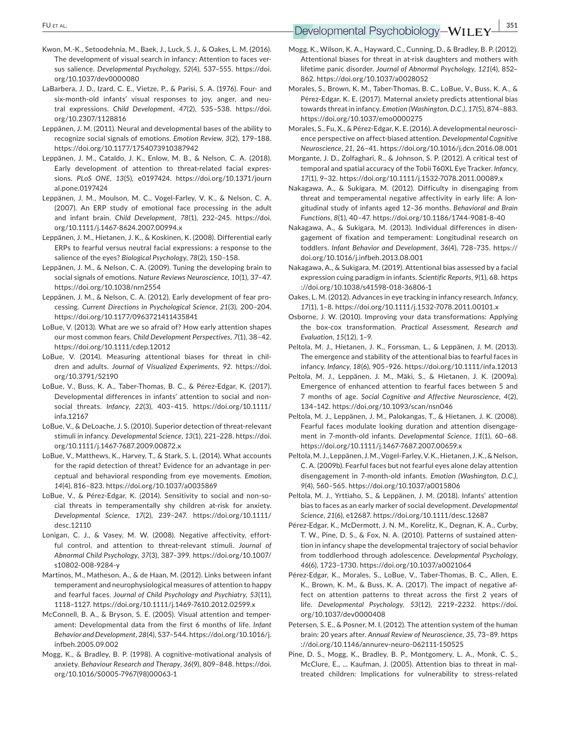## **EU** ET AL. **351**<br> **Developmental Psychobiology-WILEY** 351

- Kwon, M.‐K., Setoodehnia, M., Baek, J., Luck, S. J., & Oakes, L. M. (2016). The development of visual search in infancy: Attention to faces ver‐ sus salience. *Developmental Psychology*, *52*(4), 537–555. [https://doi.](https://doi.org/10.1037/dev0000080) [org/10.1037/dev0000080](https://doi.org/10.1037/dev0000080)
- LaBarbera, J. D., Izard, C. E., Vietze, P., & Parisi, S. A. (1976). Four‐ and six-month-old infants' visual responses to joy, anger, and neutral expressions. *Child Development*, *47*(2), 535–538. [https://doi.](https://doi.org/10.2307/1128816) [org/10.2307/1128816](https://doi.org/10.2307/1128816)
- Leppänen, J. M. (2011). Neural and developmental bases of the ability to recognize social signals of emotions. *Emotion Review*, *3*(2), 179–188. <https://doi.org/10.1177/1754073910387942>
- Leppänen, J. M., Cataldo, J. K., Enlow, M. B., & Nelson, C. A. (2018). Early development of attention to threat-related facial expressions. *PLoS ONE*, *13*(5), e0197424. [https://doi.org/10.1371/journ](https://doi.org/10.1371/journal.pone.0197424) [al.pone.0197424](https://doi.org/10.1371/journal.pone.0197424)
- Leppänen, J. M., Moulson, M. C., Vogel‐Farley, V. K., & Nelson, C. A. (2007). An ERP study of emotional face processing in the adult and infant brain. *Child Development*, *78*(1), 232–245. [https://doi.](https://doi.org/10.1111/j.1467-8624.2007.00994.x) [org/10.1111/j.1467-8624.2007.00994.x](https://doi.org/10.1111/j.1467-8624.2007.00994.x)
- Leppänen, J. M., Hietanen, J. K., & Koskinen, K. (2008). Differential early ERPs to fearful versus neutral facial expressions: a response to the salience of the eyes? *Biological Psychology*, *78*(2), 150–158.
- Leppänen, J. M., & Nelson, C. A. (2009). Tuning the developing brain to social signals of emotions. *Nature Reviews Neuroscience*, *10*(1), 37–47. <https://doi.org/10.1038/nrn2554>
- Leppänen, J. M., & Nelson, C. A. (2012). Early development of fear pro‐ cessing. *Current Directions in Psychological Science*, *21*(3), 200–204. <https://doi.org/10.1177/0963721411435841>
- LoBue, V. (2013). What are we so afraid of? How early attention shapes our most common fears. *Child Development Perspectives*, *7*(1), 38–42. <https://doi.org/10.1111/cdep.12012>
- LoBue, V. (2014). Measuring attentional biases for threat in children and adults. *Journal of Visualized Experiments*, *92*. [https://doi.](https://doi.org/10.3791/52190) [org/10.3791/52190](https://doi.org/10.3791/52190)
- LoBue, V., Buss, K. A., Taber‐Thomas, B. C., & Pérez‐Edgar, K. (2017). Developmental differences in infants' attention to social and non‐ social threats. *Infancy*, *22*(3), 403–415. [https://doi.org/10.1111/](https://doi.org/10.1111/infa.12167) [infa.12167](https://doi.org/10.1111/infa.12167)
- LoBue, V., & DeLoache, J. S. (2010). Superior detection of threat-relevant stimuli in infancy. *Developmental Science*, *13*(1), 221–228. [https://doi.](https://doi.org/10.1111/j.1467-7687.2009.00872.x) [org/10.1111/j.1467-7687.2009.00872.x](https://doi.org/10.1111/j.1467-7687.2009.00872.x)
- LoBue, V., Matthews, K., Harvey, T., & Stark, S. L. (2014). What accounts for the rapid detection of threat? Evidence for an advantage in per‐ ceptual and behavioral responding from eye movements. *Emotion*, *14*(4), 816–823. <https://doi.org/10.1037/a0035869>
- LoBue, V., & Pérez-Edgar, K. (2014). Sensitivity to social and non-social threats in temperamentally shy children at‐risk for anxiety. *Developmental Science*, *17*(2), 239–247. [https://doi.org/10.1111/](https://doi.org/10.1111/desc.12110) [desc.12110](https://doi.org/10.1111/desc.12110)
- Lonigan, C. J., & Vasey, M. W. (2008). Negative affectivity, effort‐ ful control, and attention to threat‐relevant stimuli. *Journal of Abnormal Child Psychology*, *37*(3), 387–399. [https://doi.org/10.1007/](https://doi.org/10.1007/s10802-008-9284-y) [s10802-008-9284-y](https://doi.org/10.1007/s10802-008-9284-y)
- Martinos, M., Matheson, A., & de Haan, M. (2012). Links between infant temperament and neurophysiological measures of attention to happy and fearful faces. *Journal of Child Psychology and Psychiatry*, *53*(11), 1118–1127. <https://doi.org/10.1111/j.1469-7610.2012.02599.x>
- McConnell, B. A., & Bryson, S. E. (2005). Visual attention and temper‐ ament: Developmental data from the first 6 months of life. *Infant Behavior and Development*, *28*(4), 537–544. [https://doi.org/10.1016/j.](https://doi.org/10.1016/j.infbeh.2005.09.002) [infbeh.2005.09.002](https://doi.org/10.1016/j.infbeh.2005.09.002)
- Mogg, K., & Bradley, B. P. (1998). A cognitive‐motivational analysis of anxiety. *Behaviour Research and Therapy*, *36*(9), 809–848. [https://doi.](https://doi.org/10.1016/S0005-7967(98)00063-1) [org/10.1016/S0005-7967\(98\)00063-1](https://doi.org/10.1016/S0005-7967(98)00063-1)
- Mogg, K., Wilson, K. A., Hayward, C., Cunning, D., & Bradley, B. P. (2012). Attentional biases for threat in at-risk daughters and mothers with lifetime panic disorder. *Journal of Abnormal Psychology*, *121*(4), 852– 862. <https://doi.org/10.1037/a0028052>
- Morales, S., Brown, K. M., Taber‐Thomas, B. C., LoBue, V., Buss, K. A., & Pérez‐Edgar, K. E. (2017). Maternal anxiety predicts attentional bias towards threat in infancy. *Emotion (Washington, D.C.)*, *17*(5), 874–883. <https://doi.org/10.1037/emo0000275>
- Morales, S., Fu, X., & Pérez-Edgar, K. E. (2016). A developmental neuroscience perspective on affect‐biased attention. *Developmental Cognitive Neuroscience*, *21*, 26–41. <https://doi.org/10.1016/j.dcn.2016.08.001>
- Morgante, J. D., Zolfaghari, R., & Johnson, S. P. (2012). A critical test of temporal and spatial accuracy of the Tobii T60XL Eye Tracker. *Infancy*, *17*(1), 9–32. <https://doi.org/10.1111/j.1532-7078.2011.00089.x>
- Nakagawa, A., & Sukigara, M. (2012). Difficulty in disengaging from threat and temperamental negative affectivity in early life: A lon‐ gitudinal study of infants aged 12–36 months. *Behavioral and Brain Functions*, *8*(1), 40–47. <https://doi.org/10.1186/1744-9081-8-40>
- Nakagawa, A., & Sukigara, M. (2013). Individual differences in disen‐ gagement of fixation and temperament: Longitudinal research on toddlers. *Infant Behavior and Development*, *36*(4), 728–735. [https://](https://doi.org/10.1016/j.infbeh.2013.08.001) [doi.org/10.1016/j.infbeh.2013.08.001](https://doi.org/10.1016/j.infbeh.2013.08.001)
- Nakagawa, A., & Sukigara, M. (2019). Attentional bias assessed by a facial expression cuing paradigm in infants. *Scientific Reports*, *9*(1), 68. [https](https://doi.org/10.1038/s41598-018-36806-1) [://doi.org/10.1038/s41598-018-36806-1](https://doi.org/10.1038/s41598-018-36806-1)
- Oakes, L. M. (2012). Advances in eye tracking in infancy research. *Infancy*, *17*(1), 1–8. <https://doi.org/10.1111/j.1532-7078.2011.00101.x>
- Osborne, J. W. (2010). Improving your data transformations: Applying the box‐cox transformation. *Practical Assessment, Research and Evaluation*, *15*(12), 1–9.
- Peltola, M. J., Hietanen, J. K., Forssman, L., & Leppänen, J. M. (2013). The emergence and stability of the attentional bias to fearful faces in infancy. *Infancy*, *18*(6), 905–926. <https://doi.org/10.1111/infa.12013>
- Peltola, M. J., Leppänen, J. M., Mäki, S., & Hietanen, J. K. (2009a). Emergence of enhanced attention to fearful faces between 5 and 7 months of age. *Social Cognitive and Affective Neuroscience*, *4*(2), 134–142. <https://doi.org/10.1093/scan/nsn046>
- Peltola, M. J., Leppänen, J. M., Palokangas, T., & Hietanen, J. K. (2008). Fearful faces modulate looking duration and attention disengage‐ ment in 7‐month‐old infants. *Developmental Science*, *11*(1), 60–68. <https://doi.org/10.1111/j.1467-7687.2007.00659.x>
- Peltola, M. J., Leppänen, J. M., Vogel-Farley, V. K., Hietanen, J. K., & Nelson, C. A. (2009b). Fearful faces but not fearful eyes alone delay attention disengagement in 7‐month‐old infants. *Emotion (Washington, D.C.)*, *9*(4), 560–565. <https://doi.org/10.1037/a0015806>
- Peltola, M. J., Yrttiaho, S., & Leppänen, J. M. (2018). Infants' attention bias to faces as an early marker of social development. *Developmental Science*, *21*(6), e12687. <https://doi.org/10.1111/desc.12687>
- Pérez‐Edgar, K., McDermott, J. N. M., Korelitz, K., Degnan, K. A., Curby, T. W., Pine, D. S., & Fox, N. A. (2010). Patterns of sustained atten‐ tion in infancy shape the developmental trajectory of social behavior from toddlerhood through adolescence. *Developmental Psychology*, *46*(6), 1723–1730. <https://doi.org/10.1037/a0021064>
- Pérez‐Edgar, K., Morales, S., LoBue, V., Taber‐Thomas, B. C., Allen, E. K., Brown, K. M., & Buss, K. A. (2017). The impact of negative af‐ fect on attention patterns to threat across the first 2 years of life. *Developmental Psychology*, *53*(12), 2219–2232. [https://doi.](https://doi.org/10.1037/dev0000408) [org/10.1037/dev0000408](https://doi.org/10.1037/dev0000408)
- Petersen, S. E., & Posner, M. I. (2012). The attention system of the human brain: 20 years after. *Annual Review of Neuroscience*, *35*, 73–89. [https](https://doi.org/10.1146/annurev-neuro-062111-150525) [://doi.org/10.1146/annurev-neuro-062111-150525](https://doi.org/10.1146/annurev-neuro-062111-150525)
- Pine, D. S., Mogg, K., Bradley, B. P., Montgomery, L. A., Monk, C. S., McClure, E., ... Kaufman, J. (2005). Attention bias to threat in maltreated children: Implications for vulnerability to stress-related